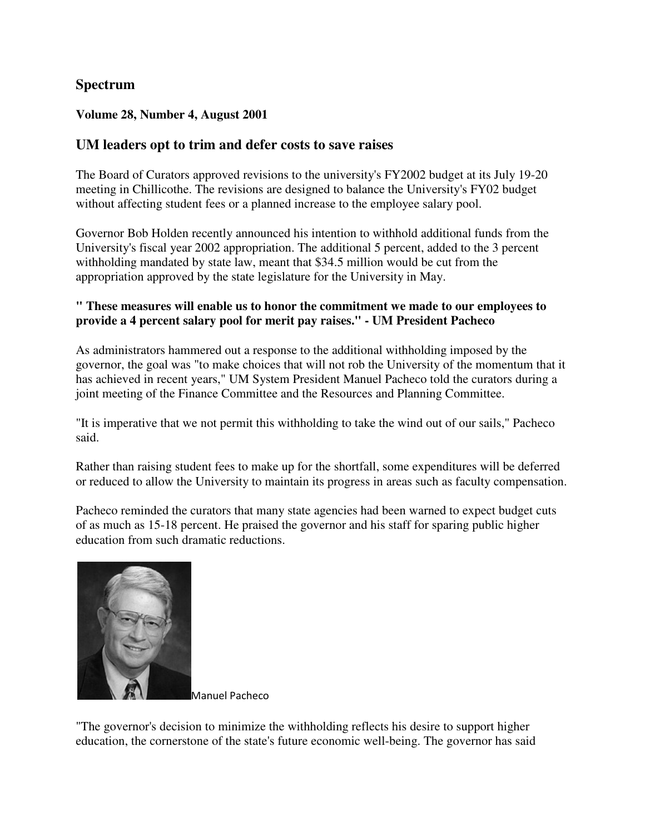# **Spectrum**

### **Volume 28, Number 4, August 2001**

## **UM leaders opt to trim and defer costs to save raises**

The Board of Curators approved revisions to the university's FY2002 budget at its July 19-20 meeting in Chillicothe. The revisions are designed to balance the University's FY02 budget without affecting student fees or a planned increase to the employee salary pool.

Governor Bob Holden recently announced his intention to withhold additional funds from the University's fiscal year 2002 appropriation. The additional 5 percent, added to the 3 percent withholding mandated by state law, meant that \$34.5 million would be cut from the appropriation approved by the state legislature for the University in May.

#### **" These measures will enable us to honor the commitment we made to our employees to provide a 4 percent salary pool for merit pay raises." - UM President Pacheco**

As administrators hammered out a response to the additional withholding imposed by the governor, the goal was "to make choices that will not rob the University of the momentum that it has achieved in recent years," UM System President Manuel Pacheco told the curators during a joint meeting of the Finance Committee and the Resources and Planning Committee.

"It is imperative that we not permit this withholding to take the wind out of our sails," Pacheco said.

Rather than raising student fees to make up for the shortfall, some expenditures will be deferred or reduced to allow the University to maintain its progress in areas such as faculty compensation.

Pacheco reminded the curators that many state agencies had been warned to expect budget cuts of as much as 15-18 percent. He praised the governor and his staff for sparing public higher education from such dramatic reductions.



Manuel Pacheco

"The governor's decision to minimize the withholding reflects his desire to support higher education, the cornerstone of the state's future economic well-being. The governor has said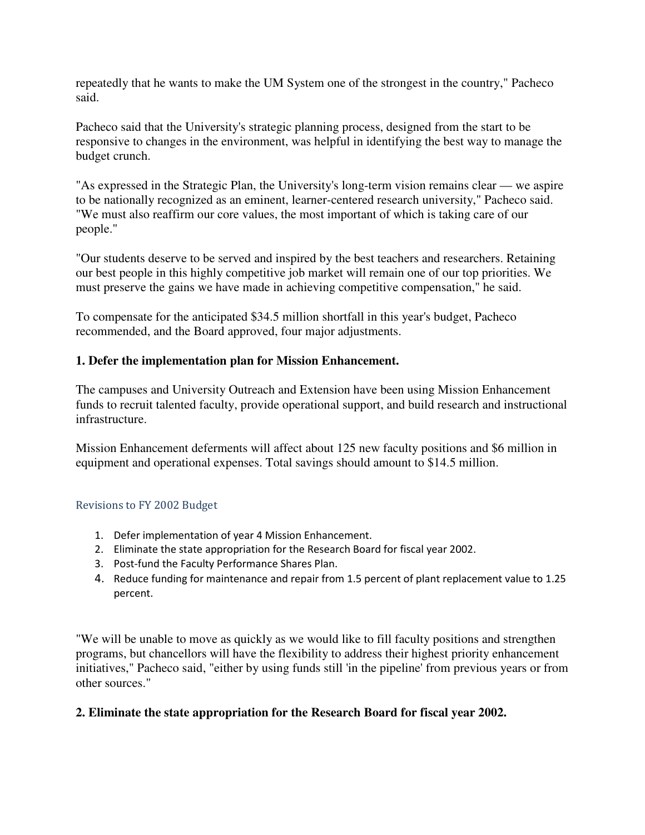repeatedly that he wants to make the UM System one of the strongest in the country," Pacheco said.

Pacheco said that the University's strategic planning process, designed from the start to be responsive to changes in the environment, was helpful in identifying the best way to manage the budget crunch.

"As expressed in the Strategic Plan, the University's long-term vision remains clear — we aspire to be nationally recognized as an eminent, learner-centered research university," Pacheco said. "We must also reaffirm our core values, the most important of which is taking care of our people."

"Our students deserve to be served and inspired by the best teachers and researchers. Retaining our best people in this highly competitive job market will remain one of our top priorities. We must preserve the gains we have made in achieving competitive compensation," he said.

To compensate for the anticipated \$34.5 million shortfall in this year's budget, Pacheco recommended, and the Board approved, four major adjustments.

## **1. Defer the implementation plan for Mission Enhancement.**

The campuses and University Outreach and Extension have been using Mission Enhancement funds to recruit talented faculty, provide operational support, and build research and instructional infrastructure.

Mission Enhancement deferments will affect about 125 new faculty positions and \$6 million in equipment and operational expenses. Total savings should amount to \$14.5 million.

#### Revisions to FY 2002 Budget

- 1. Defer implementation of year 4 Mission Enhancement.
- 2. Eliminate the state appropriation for the Research Board for fiscal year 2002.
- 3. Post-fund the Faculty Performance Shares Plan.
- 4. Reduce funding for maintenance and repair from 1.5 percent of plant replacement value to 1.25 percent.

"We will be unable to move as quickly as we would like to fill faculty positions and strengthen programs, but chancellors will have the flexibility to address their highest priority enhancement initiatives," Pacheco said, "either by using funds still 'in the pipeline' from previous years or from other sources."

## **2. Eliminate the state appropriation for the Research Board for fiscal year 2002.**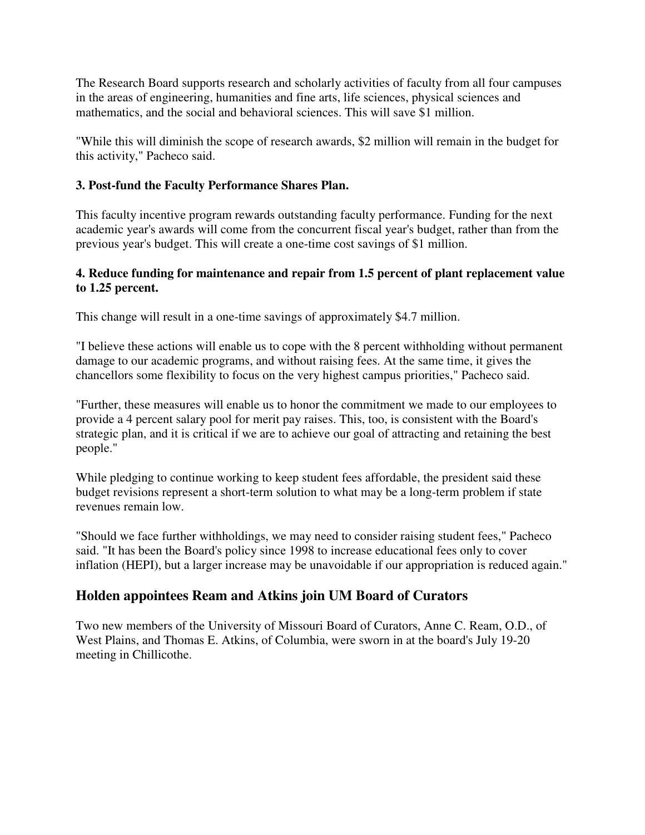The Research Board supports research and scholarly activities of faculty from all four campuses in the areas of engineering, humanities and fine arts, life sciences, physical sciences and mathematics, and the social and behavioral sciences. This will save \$1 million.

"While this will diminish the scope of research awards, \$2 million will remain in the budget for this activity," Pacheco said.

## **3. Post-fund the Faculty Performance Shares Plan.**

This faculty incentive program rewards outstanding faculty performance. Funding for the next academic year's awards will come from the concurrent fiscal year's budget, rather than from the previous year's budget. This will create a one-time cost savings of \$1 million.

## **4. Reduce funding for maintenance and repair from 1.5 percent of plant replacement value to 1.25 percent.**

This change will result in a one-time savings of approximately \$4.7 million.

"I believe these actions will enable us to cope with the 8 percent withholding without permanent damage to our academic programs, and without raising fees. At the same time, it gives the chancellors some flexibility to focus on the very highest campus priorities," Pacheco said.

"Further, these measures will enable us to honor the commitment we made to our employees to provide a 4 percent salary pool for merit pay raises. This, too, is consistent with the Board's strategic plan, and it is critical if we are to achieve our goal of attracting and retaining the best people."

While pledging to continue working to keep student fees affordable, the president said these budget revisions represent a short-term solution to what may be a long-term problem if state revenues remain low.

"Should we face further withholdings, we may need to consider raising student fees," Pacheco said. "It has been the Board's policy since 1998 to increase educational fees only to cover inflation (HEPI), but a larger increase may be unavoidable if our appropriation is reduced again."

# **Holden appointees Ream and Atkins join UM Board of Curators**

Two new members of the University of Missouri Board of Curators, Anne C. Ream, O.D., of West Plains, and Thomas E. Atkins, of Columbia, were sworn in at the board's July 19-20 meeting in Chillicothe.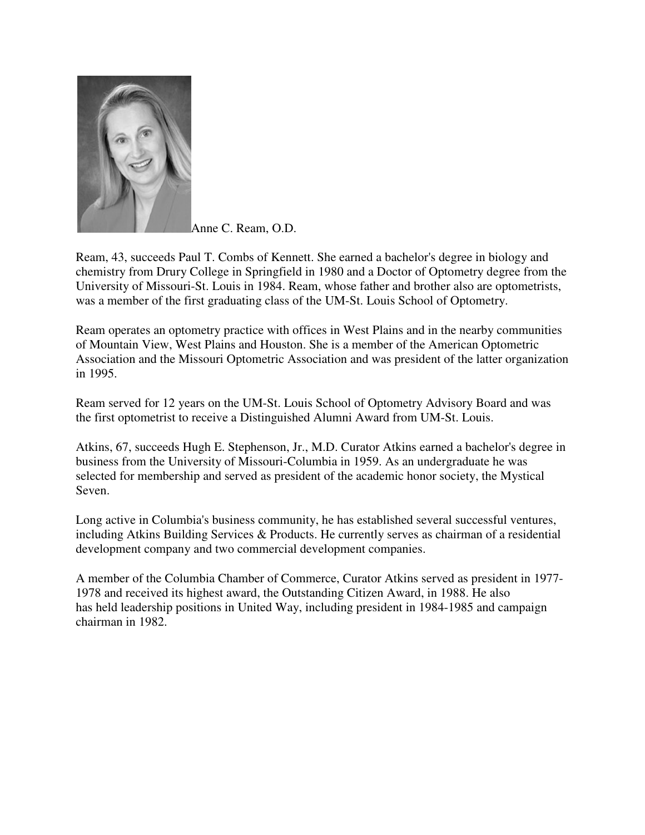

Anne C. Ream, O.D.

Ream, 43, succeeds Paul T. Combs of Kennett. She earned a bachelor's degree in biology and chemistry from Drury College in Springfield in 1980 and a Doctor of Optometry degree from the University of Missouri-St. Louis in 1984. Ream, whose father and brother also are optometrists, was a member of the first graduating class of the UM-St. Louis School of Optometry.

Ream operates an optometry practice with offices in West Plains and in the nearby communities of Mountain View, West Plains and Houston. She is a member of the American Optometric Association and the Missouri Optometric Association and was president of the latter organization in 1995.

Ream served for 12 years on the UM-St. Louis School of Optometry Advisory Board and was the first optometrist to receive a Distinguished Alumni Award from UM-St. Louis.

Atkins, 67, succeeds Hugh E. Stephenson, Jr., M.D. Curator Atkins earned a bachelor's degree in business from the University of Missouri-Columbia in 1959. As an undergraduate he was selected for membership and served as president of the academic honor society, the Mystical Seven.

Long active in Columbia's business community, he has established several successful ventures, including Atkins Building Services & Products. He currently serves as chairman of a residential development company and two commercial development companies.

A member of the Columbia Chamber of Commerce, Curator Atkins served as president in 1977- 1978 and received its highest award, the Outstanding Citizen Award, in 1988. He also has held leadership positions in United Way, including president in 1984-1985 and campaign chairman in 1982.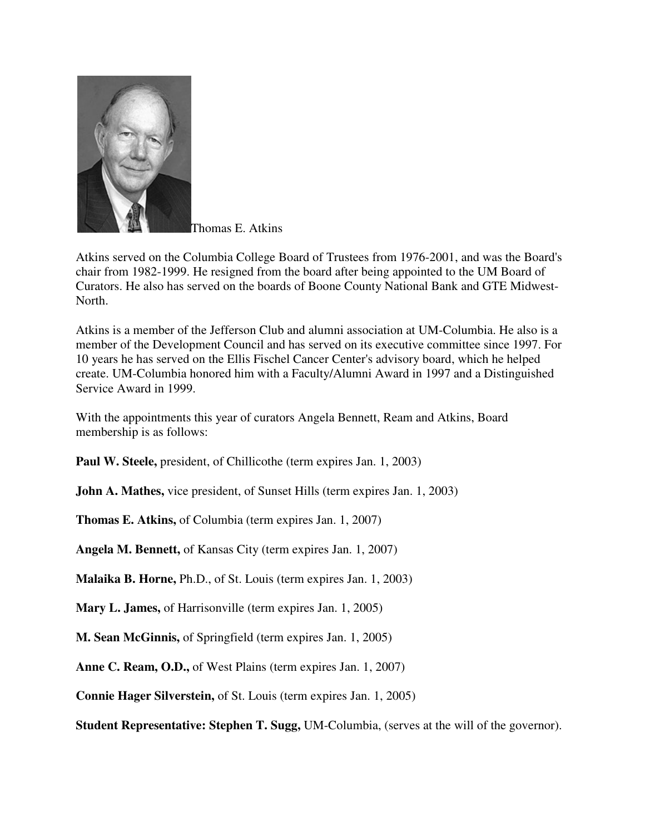

Thomas E. Atkins

Atkins served on the Columbia College Board of Trustees from 1976-2001, and was the Board's chair from 1982-1999. He resigned from the board after being appointed to the UM Board of Curators. He also has served on the boards of Boone County National Bank and GTE Midwest-North.

Atkins is a member of the Jefferson Club and alumni association at UM-Columbia. He also is a member of the Development Council and has served on its executive committee since 1997. For 10 years he has served on the Ellis Fischel Cancer Center's advisory board, which he helped create. UM-Columbia honored him with a Faculty/Alumni Award in 1997 and a Distinguished Service Award in 1999.

With the appointments this year of curators Angela Bennett, Ream and Atkins, Board membership is as follows:

**Paul W. Steele,** president, of Chillicothe (term expires Jan. 1, 2003)

**John A. Mathes,** vice president, of Sunset Hills (term expires Jan. 1, 2003)

**Thomas E. Atkins,** of Columbia (term expires Jan. 1, 2007)

**Angela M. Bennett,** of Kansas City (term expires Jan. 1, 2007)

**Malaika B. Horne,** Ph.D., of St. Louis (term expires Jan. 1, 2003)

**Mary L. James,** of Harrisonville (term expires Jan. 1, 2005)

**M. Sean McGinnis,** of Springfield (term expires Jan. 1, 2005)

**Anne C. Ream, O.D.,** of West Plains (term expires Jan. 1, 2007)

**Connie Hager Silverstein,** of St. Louis (term expires Jan. 1, 2005)

**Student Representative: Stephen T. Sugg,** UM-Columbia, (serves at the will of the governor).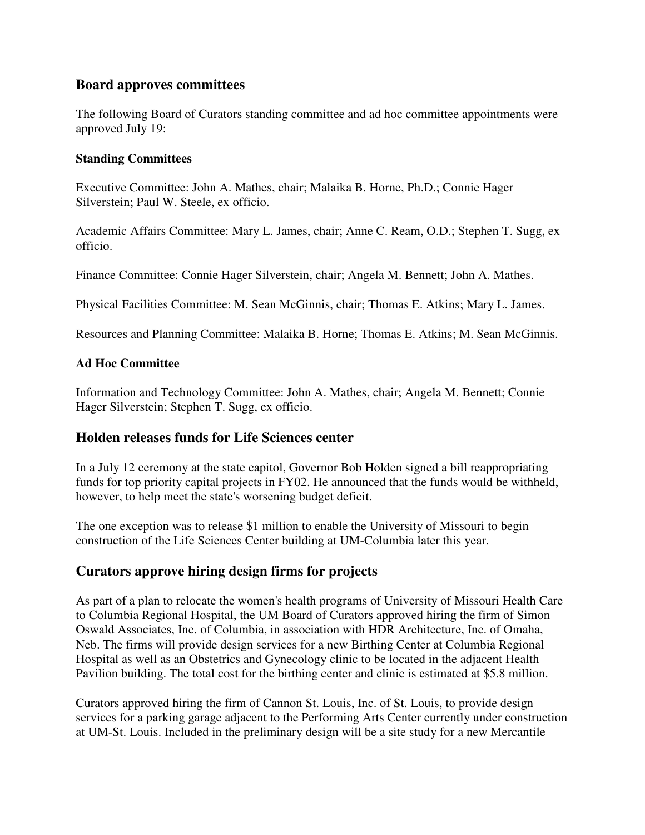## **Board approves committees**

The following Board of Curators standing committee and ad hoc committee appointments were approved July 19:

#### **Standing Committees**

Executive Committee: John A. Mathes, chair; Malaika B. Horne, Ph.D.; Connie Hager Silverstein; Paul W. Steele, ex officio.

Academic Affairs Committee: Mary L. James, chair; Anne C. Ream, O.D.; Stephen T. Sugg, ex officio.

Finance Committee: Connie Hager Silverstein, chair; Angela M. Bennett; John A. Mathes.

Physical Facilities Committee: M. Sean McGinnis, chair; Thomas E. Atkins; Mary L. James.

Resources and Planning Committee: Malaika B. Horne; Thomas E. Atkins; M. Sean McGinnis.

## **Ad Hoc Committee**

Information and Technology Committee: John A. Mathes, chair; Angela M. Bennett; Connie Hager Silverstein; Stephen T. Sugg, ex officio.

# **Holden releases funds for Life Sciences center**

In a July 12 ceremony at the state capitol, Governor Bob Holden signed a bill reappropriating funds for top priority capital projects in FY02. He announced that the funds would be withheld, however, to help meet the state's worsening budget deficit.

The one exception was to release \$1 million to enable the University of Missouri to begin construction of the Life Sciences Center building at UM-Columbia later this year.

# **Curators approve hiring design firms for projects**

As part of a plan to relocate the women's health programs of University of Missouri Health Care to Columbia Regional Hospital, the UM Board of Curators approved hiring the firm of Simon Oswald Associates, Inc. of Columbia, in association with HDR Architecture, Inc. of Omaha, Neb. The firms will provide design services for a new Birthing Center at Columbia Regional Hospital as well as an Obstetrics and Gynecology clinic to be located in the adjacent Health Pavilion building. The total cost for the birthing center and clinic is estimated at \$5.8 million.

Curators approved hiring the firm of Cannon St. Louis, Inc. of St. Louis, to provide design services for a parking garage adjacent to the Performing Arts Center currently under construction at UM-St. Louis. Included in the preliminary design will be a site study for a new Mercantile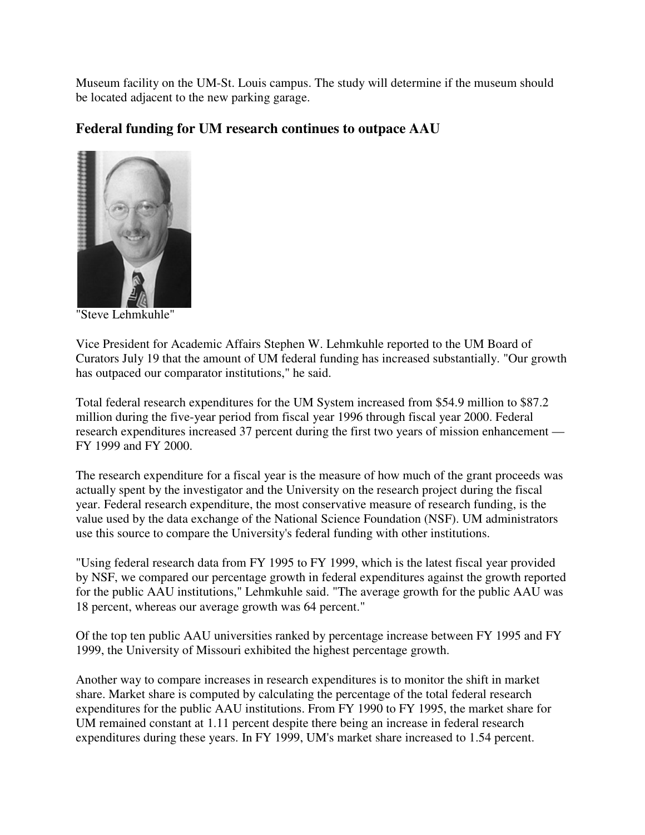Museum facility on the UM-St. Louis campus. The study will determine if the museum should be located adjacent to the new parking garage.

# **Federal funding for UM research continues to outpace AAU**



"Steve Lehmkuhle"

Vice President for Academic Affairs Stephen W. Lehmkuhle reported to the UM Board of Curators July 19 that the amount of UM federal funding has increased substantially. "Our growth has outpaced our comparator institutions," he said.

Total federal research expenditures for the UM System increased from \$54.9 million to \$87.2 million during the five-year period from fiscal year 1996 through fiscal year 2000. Federal research expenditures increased 37 percent during the first two years of mission enhancement — FY 1999 and FY 2000.

The research expenditure for a fiscal year is the measure of how much of the grant proceeds was actually spent by the investigator and the University on the research project during the fiscal year. Federal research expenditure, the most conservative measure of research funding, is the value used by the data exchange of the National Science Foundation (NSF). UM administrators use this source to compare the University's federal funding with other institutions.

"Using federal research data from FY 1995 to FY 1999, which is the latest fiscal year provided by NSF, we compared our percentage growth in federal expenditures against the growth reported for the public AAU institutions," Lehmkuhle said. "The average growth for the public AAU was 18 percent, whereas our average growth was 64 percent."

Of the top ten public AAU universities ranked by percentage increase between FY 1995 and FY 1999, the University of Missouri exhibited the highest percentage growth.

Another way to compare increases in research expenditures is to monitor the shift in market share. Market share is computed by calculating the percentage of the total federal research expenditures for the public AAU institutions. From FY 1990 to FY 1995, the market share for UM remained constant at 1.11 percent despite there being an increase in federal research expenditures during these years. In FY 1999, UM's market share increased to 1.54 percent.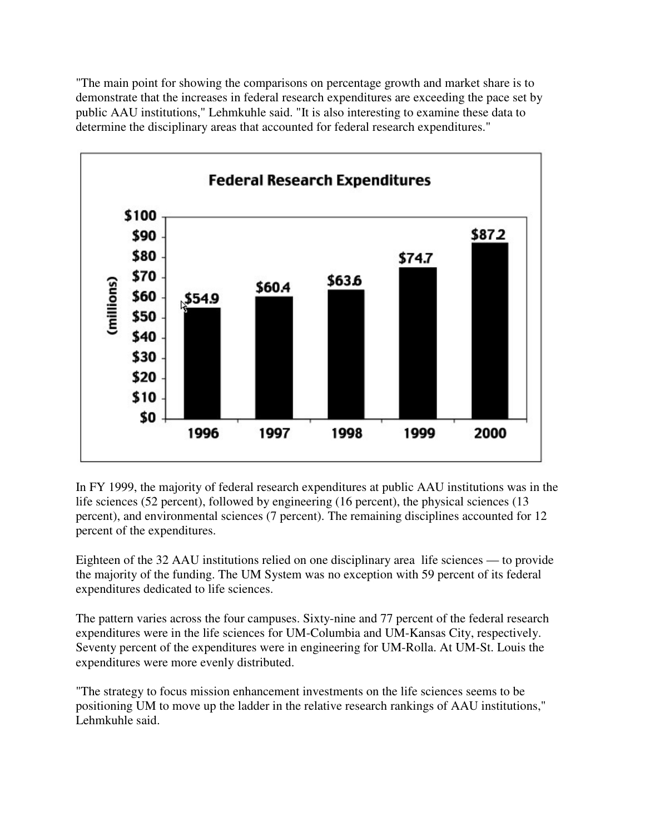"The main point for showing the comparisons on percentage growth and market share is to demonstrate that the increases in federal research expenditures are exceeding the pace set by public AAU institutions," Lehmkuhle said. "It is also interesting to examine these data to determine the disciplinary areas that accounted for federal research expenditures."



In FY 1999, the majority of federal research expenditures at public AAU institutions was in the life sciences (52 percent), followed by engineering (16 percent), the physical sciences (13 percent), and environmental sciences (7 percent). The remaining disciplines accounted for 12 percent of the expenditures.

Eighteen of the 32 AAU institutions relied on one disciplinary area life sciences — to provide the majority of the funding. The UM System was no exception with 59 percent of its federal expenditures dedicated to life sciences.

The pattern varies across the four campuses. Sixty-nine and 77 percent of the federal research expenditures were in the life sciences for UM-Columbia and UM-Kansas City, respectively. Seventy percent of the expenditures were in engineering for UM-Rolla. At UM-St. Louis the expenditures were more evenly distributed.

"The strategy to focus mission enhancement investments on the life sciences seems to be positioning UM to move up the ladder in the relative research rankings of AAU institutions," Lehmkuhle said.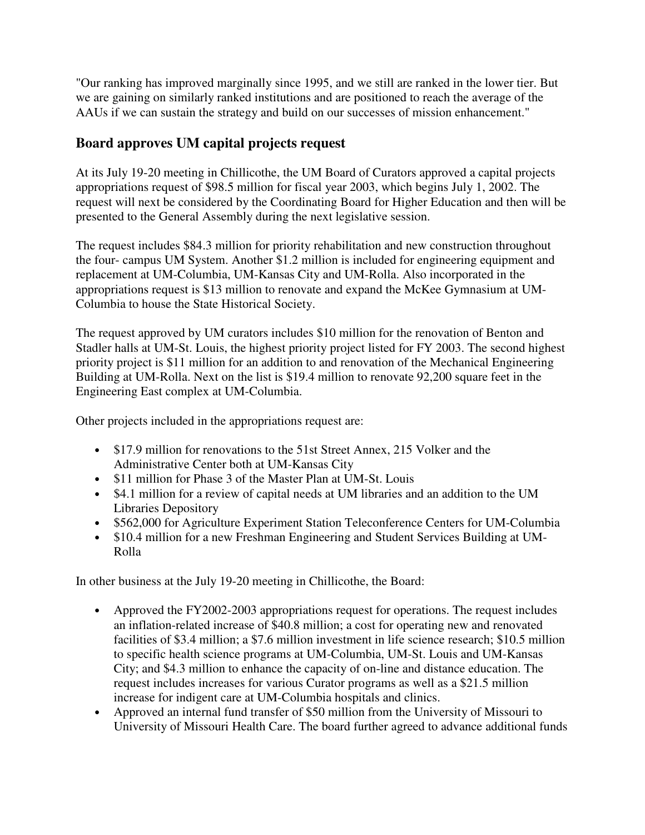"Our ranking has improved marginally since 1995, and we still are ranked in the lower tier. But we are gaining on similarly ranked institutions and are positioned to reach the average of the AAUs if we can sustain the strategy and build on our successes of mission enhancement."

# **Board approves UM capital projects request**

At its July 19-20 meeting in Chillicothe, the UM Board of Curators approved a capital projects appropriations request of \$98.5 million for fiscal year 2003, which begins July 1, 2002. The request will next be considered by the Coordinating Board for Higher Education and then will be presented to the General Assembly during the next legislative session.

The request includes \$84.3 million for priority rehabilitation and new construction throughout the four- campus UM System. Another \$1.2 million is included for engineering equipment and replacement at UM-Columbia, UM-Kansas City and UM-Rolla. Also incorporated in the appropriations request is \$13 million to renovate and expand the McKee Gymnasium at UM-Columbia to house the State Historical Society.

The request approved by UM curators includes \$10 million for the renovation of Benton and Stadler halls at UM-St. Louis, the highest priority project listed for FY 2003. The second highest priority project is \$11 million for an addition to and renovation of the Mechanical Engineering Building at UM-Rolla. Next on the list is \$19.4 million to renovate 92,200 square feet in the Engineering East complex at UM-Columbia.

Other projects included in the appropriations request are:

- \$17.9 million for renovations to the 51st Street Annex, 215 Volker and the Administrative Center both at UM-Kansas City
- \$11 million for Phase 3 of the Master Plan at UM-St. Louis
- \$4.1 million for a review of capital needs at UM libraries and an addition to the UM Libraries Depository
- \$562,000 for Agriculture Experiment Station Teleconference Centers for UM-Columbia
- \$10.4 million for a new Freshman Engineering and Student Services Building at UM-Rolla

In other business at the July 19-20 meeting in Chillicothe, the Board:

- Approved the FY2002-2003 appropriations request for operations. The request includes an inflation-related increase of \$40.8 million; a cost for operating new and renovated facilities of \$3.4 million; a \$7.6 million investment in life science research; \$10.5 million to specific health science programs at UM-Columbia, UM-St. Louis and UM-Kansas City; and \$4.3 million to enhance the capacity of on-line and distance education. The request includes increases for various Curator programs as well as a \$21.5 million increase for indigent care at UM-Columbia hospitals and clinics.
- Approved an internal fund transfer of \$50 million from the University of Missouri to University of Missouri Health Care. The board further agreed to advance additional funds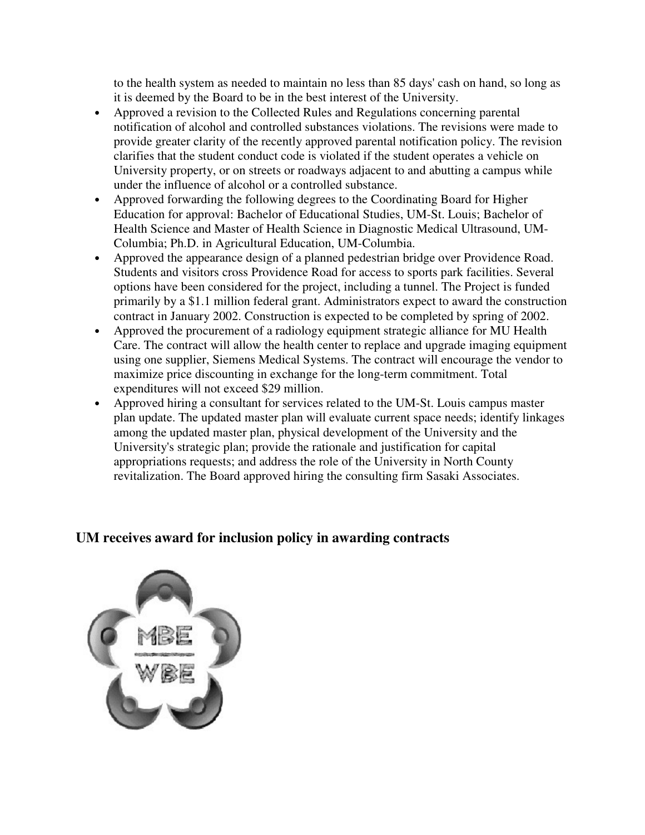to the health system as needed to maintain no less than 85 days' cash on hand, so long as it is deemed by the Board to be in the best interest of the University.

- Approved a revision to the Collected Rules and Regulations concerning parental notification of alcohol and controlled substances violations. The revisions were made to provide greater clarity of the recently approved parental notification policy. The revision clarifies that the student conduct code is violated if the student operates a vehicle on University property, or on streets or roadways adjacent to and abutting a campus while under the influence of alcohol or a controlled substance.
- Approved forwarding the following degrees to the Coordinating Board for Higher Education for approval: Bachelor of Educational Studies, UM-St. Louis; Bachelor of Health Science and Master of Health Science in Diagnostic Medical Ultrasound, UM-Columbia; Ph.D. in Agricultural Education, UM-Columbia.
- Approved the appearance design of a planned pedestrian bridge over Providence Road. Students and visitors cross Providence Road for access to sports park facilities. Several options have been considered for the project, including a tunnel. The Project is funded primarily by a \$1.1 million federal grant. Administrators expect to award the construction contract in January 2002. Construction is expected to be completed by spring of 2002.
- Approved the procurement of a radiology equipment strategic alliance for MU Health Care. The contract will allow the health center to replace and upgrade imaging equipment using one supplier, Siemens Medical Systems. The contract will encourage the vendor to maximize price discounting in exchange for the long-term commitment. Total expenditures will not exceed \$29 million.
- Approved hiring a consultant for services related to the UM-St. Louis campus master plan update. The updated master plan will evaluate current space needs; identify linkages among the updated master plan, physical development of the University and the University's strategic plan; provide the rationale and justification for capital appropriations requests; and address the role of the University in North County revitalization. The Board approved hiring the consulting firm Sasaki Associates.

# **UM receives award for inclusion policy in awarding contracts**

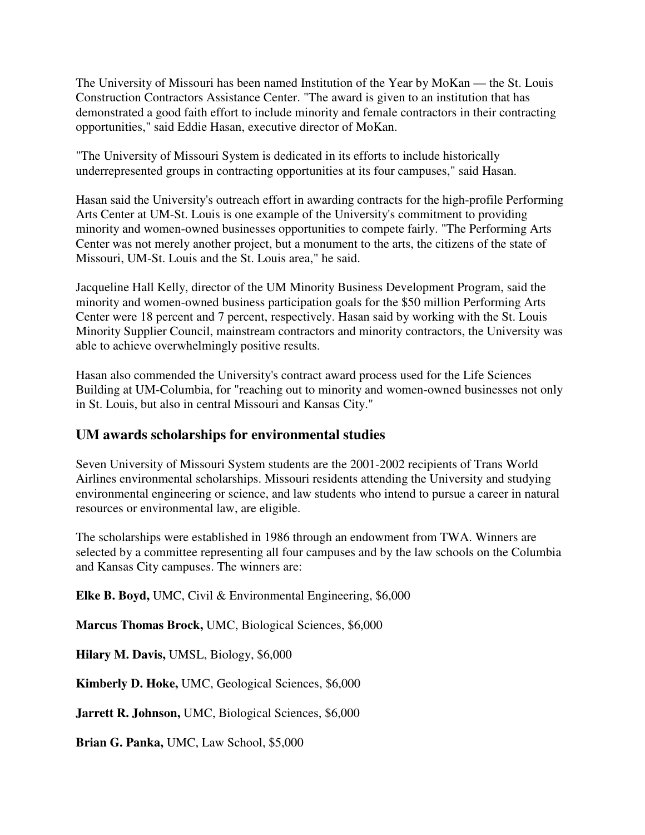The University of Missouri has been named Institution of the Year by MoKan — the St. Louis Construction Contractors Assistance Center. "The award is given to an institution that has demonstrated a good faith effort to include minority and female contractors in their contracting opportunities," said Eddie Hasan, executive director of MoKan.

"The University of Missouri System is dedicated in its efforts to include historically underrepresented groups in contracting opportunities at its four campuses," said Hasan.

Hasan said the University's outreach effort in awarding contracts for the high-profile Performing Arts Center at UM-St. Louis is one example of the University's commitment to providing minority and women-owned businesses opportunities to compete fairly. "The Performing Arts Center was not merely another project, but a monument to the arts, the citizens of the state of Missouri, UM-St. Louis and the St. Louis area," he said.

Jacqueline Hall Kelly, director of the UM Minority Business Development Program, said the minority and women-owned business participation goals for the \$50 million Performing Arts Center were 18 percent and 7 percent, respectively. Hasan said by working with the St. Louis Minority Supplier Council, mainstream contractors and minority contractors, the University was able to achieve overwhelmingly positive results.

Hasan also commended the University's contract award process used for the Life Sciences Building at UM-Columbia, for "reaching out to minority and women-owned businesses not only in St. Louis, but also in central Missouri and Kansas City."

# **UM awards scholarships for environmental studies**

Seven University of Missouri System students are the 2001-2002 recipients of Trans World Airlines environmental scholarships. Missouri residents attending the University and studying environmental engineering or science, and law students who intend to pursue a career in natural resources or environmental law, are eligible.

The scholarships were established in 1986 through an endowment from TWA. Winners are selected by a committee representing all four campuses and by the law schools on the Columbia and Kansas City campuses. The winners are:

**Elke B. Boyd,** UMC, Civil & Environmental Engineering, \$6,000

**Marcus Thomas Brock,** UMC, Biological Sciences, \$6,000

**Hilary M. Davis,** UMSL, Biology, \$6,000

**Kimberly D. Hoke,** UMC, Geological Sciences, \$6,000

**Jarrett R. Johnson,** UMC, Biological Sciences, \$6,000

**Brian G. Panka,** UMC, Law School, \$5,000